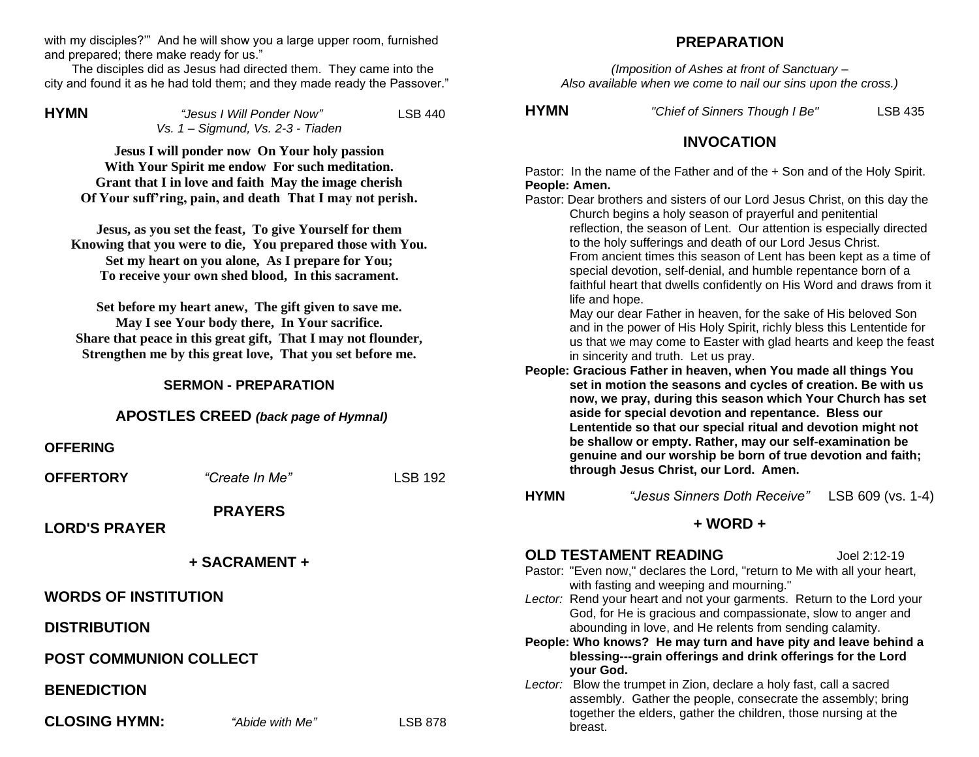with my disciples?" And he will show you a large upper room, furnished and prepared; there make ready for us."

 The disciples did as Jesus had directed them. They came into the city and found it as he had told them; and they made ready the Passover."

**HYMN** *"Jesus I Will Ponder Now"* LSB 440 *Vs. 1 – Sigmund, Vs. 2-3 - Tiaden*

**Jesus I will ponder now On Your holy passion With Your Spirit me endow For such meditation. Grant that I in love and faith May the image cherish Of Your suff'ring, pain, and death That I may not perish.** 

**Jesus, as you set the feast, To give Yourself for them Knowing that you were to die, You prepared those with You. Set my heart on you alone, As I prepare for You; To receive your own shed blood, In this sacrament.**

**Set before my heart anew, The gift given to save me. May I see Your body there, In Your sacrifice. Share that peace in this great gift, That I may not flounder, Strengthen me by this great love, That you set before me.**

## **SERMON - PREPARATION**

### **APOSTLES CREED** *(back page of Hymnal)*

#### **OFFERING**

| <b>OFFERTORY</b>              | "Create In Me"         | <b>LSB 192</b> |         |
|-------------------------------|------------------------|----------------|---------|
| <b>LORD'S PRAYER</b>          | <b>PRAYERS</b>         |                | н       |
|                               | + SACRAMENT +          |                | O<br>Pa |
| <b>WORDS OF INSTITUTION</b>   |                        |                | L٤      |
| <b>DISTRIBUTION</b>           |                        |                | P6      |
| <b>POST COMMUNION COLLECT</b> |                        |                |         |
| <b>BENEDICTION</b>            |                        |                | L٤      |
| <b>CLOSING HYMN:</b>          | <i>"Abide with Me"</i> | <b>LSB 878</b> |         |

## **PREPARATION**

*(Imposition of Ashes at front of Sanctuary – Also available when we come to nail our sins upon the cross.)*

**HYMN** *"Chief of Sinners Though I Be"* LSB 435

## **INVOCATION**

Pastor: In the name of the Father and of the + Son and of the Holy Spirit. **People: Amen.**

| Pastor: Dear brothers and sisters of our Lord Jesus Christ, on this day the<br>Church begins a holy season of prayerful and penitential<br>reflection, the season of Lent. Our attention is especially directed<br>to the holy sufferings and death of our Lord Jesus Christ.<br>From ancient times this season of Lent has been kept as a time of<br>special devotion, self-denial, and humble repentance born of a<br>faithful heart that dwells confidently on His Word and draws from it<br>life and hope.<br>May our dear Father in heaven, for the sake of His beloved Son<br>and in the power of His Holy Spirit, richly bless this Lententide for<br>us that we may come to Easter with glad hearts and keep the feast<br>in sincerity and truth. Let us pray.<br>People: Gracious Father in heaven, when You made all things You |                                                                           |
|-------------------------------------------------------------------------------------------------------------------------------------------------------------------------------------------------------------------------------------------------------------------------------------------------------------------------------------------------------------------------------------------------------------------------------------------------------------------------------------------------------------------------------------------------------------------------------------------------------------------------------------------------------------------------------------------------------------------------------------------------------------------------------------------------------------------------------------------|---------------------------------------------------------------------------|
| now, we pray, during this season which Your Church has set<br>aside for special devotion and repentance. Bless our<br>Lententide so that our special ritual and devotion might not<br>be shallow or empty. Rather, may our self-examination be<br>genuine and our worship be born of true devotion and faith;<br>through Jesus Christ, our Lord. Amen.                                                                                                                                                                                                                                                                                                                                                                                                                                                                                    |                                                                           |
| "Jesus Sinners Doth Receive"                                                                                                                                                                                                                                                                                                                                                                                                                                                                                                                                                                                                                                                                                                                                                                                                              | LSB 609 (vs. 1-4)                                                         |
| + WORD +                                                                                                                                                                                                                                                                                                                                                                                                                                                                                                                                                                                                                                                                                                                                                                                                                                  |                                                                           |
| <b>OLD TESTAMENT READING</b><br>Pastor: "Even now," declares the Lord, "return to Me with all your heart,<br>with fasting and weeping and mourning."<br>Lector: Rend your heart and not your garments. Return to the Lord your<br>God, for He is gracious and compassionate, slow to anger and<br>abounding in love, and He relents from sending calamity.<br>People: Who knows? He may turn and have pity and leave behind a<br>blessing---grain offerings and drink offerings for the Lord                                                                                                                                                                                                                                                                                                                                              | Joel 2:12-19                                                              |
|                                                                                                                                                                                                                                                                                                                                                                                                                                                                                                                                                                                                                                                                                                                                                                                                                                           | set in motion the seasons and cycles of creation. Be with us<br>your God. |

*Lector:* Blow the trumpet in Zion, declare a holy fast, call a sacred assembly. Gather the people, consecrate the assembly; bring together the elders, gather the children, those nursing at the breast.